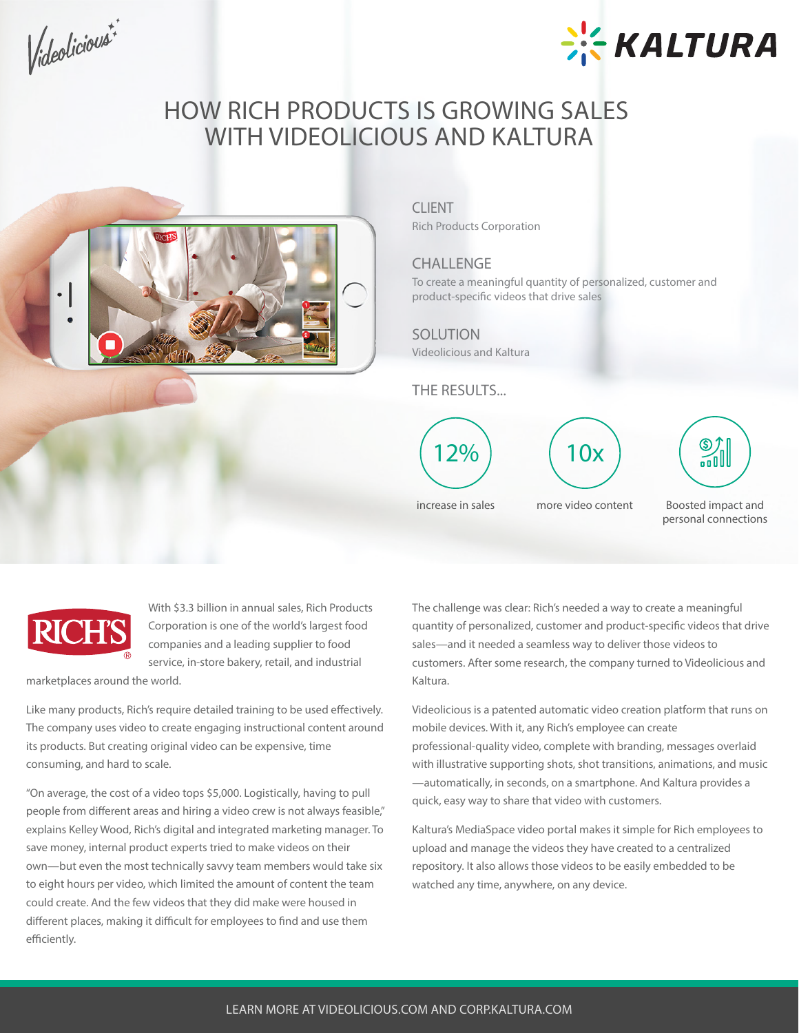Videolicious



## **HOW RICH PRODUCTS IS GROWING SALES WITH VIDEOLICIOUS AND KALTURA**



### **CLIENT**

Rich Products Corporation

## **CHALLENGE**

To create a meaningful quantity of personalized, customer and product-specific videos that drive sales

### **SOLUTION**

Videolicious and Kaltura

**THE RESULTS...**



Boosted impact and personal connections



With \$3.3 billion in annual sales, Rich Products Corporation is one of the world's largest food companies and a leading supplier to food service, in-store bakery, retail, and industrial

marketplaces around the world.

Like many products, Rich's require detailed training to be used effectively. The company uses video to create engaging instructional content around its products. But creating original video can be expensive, time consuming, and hard to scale.

"On average, the cost of a video tops \$5,000. Logistically, having to pull people from different areas and hiring a video crew is not always feasible," explains Kelley Wood, Rich's digital and integrated marketing manager. To save money, internal product experts tried to make videos on their own—but even the most technically savvy team members would take six to eight hours per video, which limited the amount of content the team could create. And the few videos that they did make were housed in different places, making it difficult for employees to find and use them efficiently.

The challenge was clear: Rich's needed a way to create a meaningful quantity of personalized, customer and product-specific videos that drive sales—and it needed a seamless way to deliver those videos to customers. After some research, the company turned to Videolicious and Kaltura.

Videolicious is a patented automatic video creation platform that runs on mobile devices. With it, any Rich's employee can create professional-quality video, complete with branding, messages overlaid with illustrative supporting shots, shot transitions, animations, and music —automatically, in seconds, on a smartphone. And Kaltura provides a quick, easy way to share that video with customers.

Kaltura's MediaSpace video portal makes it simple for Rich employees to upload and manage the videos they have created to a centralized repository. It also allows those videos to be easily embedded to be watched any time, anywhere, on any device.